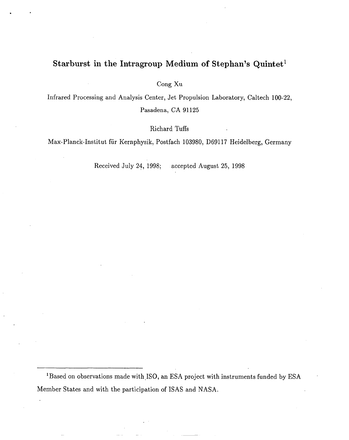# **Starburst in the Intragroup Medium of Stephan's Quintetl**

. .

Cong Xu

Infrared Processing and Analysis Center, Jet Propulsion Laboratory, Caltech 100-22, Pasadena, CA **91125**

Richard Tuffs

Max-Planck-Institut fiir Kernphysik, Postfach 103980, D69117 Heidelberg, Germany

Received July 24, 1998; accepted August 25, 1998

<sup>1</sup>Based on observations made with ISO, an ESA project with instruments funded by ESA Member States and with the participation of ISAS and NASA.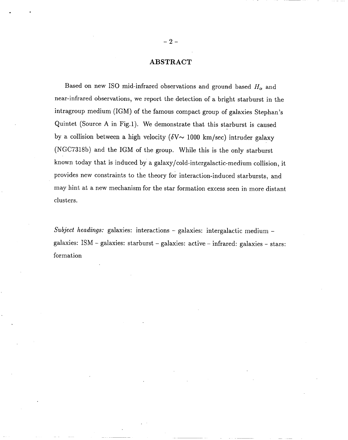# **ABSTRACT**

Based on new ISO mid-infrared observations and ground based  $H_{\alpha}$  and near-infrared observations, we report the detection of a bright starburst in the int ragroup medium (IGM) of the famous compact group of galaxies Stephan's Quintet (Source A in Fig.1). We demonstrate that this starburst is caused by a collision between a high velocity ( $\delta$ V $\sim$  1000 km/sec) intruder galaxy (NGC7318b) and the IGM of the group. While this is the only starburst known today that is induced by a galaxy /cold-intergalactic-medium collision, it provides new constraints to the theory for interaction-induced starbursts, and may hint at a new mechanism for the star formation excess seen in more distant clusters.

Subject headings: galaxies: interactions  $-$  galaxies: intergalactic medium  $$ galaxies: ISM – galaxies: starburst – galaxies: active – infrared: galaxies – stars: formation

.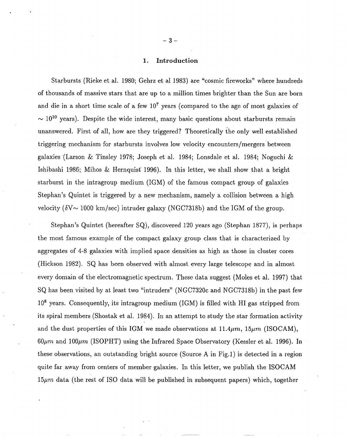# **1. Introduction**

Starbursts (Rieke et al. 1980; Gehrz et al 1983) are "cosmic fireworks" where hundreds of thousands of massive stars that are up to a million times brighter than the Sun are born and die in a short time scale of a few  $10<sup>7</sup>$  years (compared to the age of most galaxies of  $\sim 10^{10}$  years). Despite the wide interest, many basic questions about starbursts remain unanswered. First of all, how are they triggered? Theoretically the only well established triggering mechanism for starbursts involves low velocity encounters/mergers between galaxies '(Larson & Tinsley 1978; Joseph et al. 1984; Lonsdale et al. 1984; Noguchi & Ishibashi 1986; Mihos & Hernquist 1996). In this letter, we shall show that a bright starburst in the intragroup medium (IGM) of the famous compact group of galaxies Stephan's Quintet is triggered by a new mechanism, namely a collision between a high velocity ( $\delta$ V ~ 1000 km/sec) intruder galaxy (NGC7318b) and the IGM of the group.

Stephan's Quintet (hereafter SQ), discovered 120 years ago (Stephan 1877), is perhaps the most famous example of the compact galaxy group class that is characterized by aggregates of 4-8 galaxies with implied space densities as high as those in cluster cores (Hickson 1982). SQ has been observed with almost every large telescope and in almost every domain of the electromagnetic spectrum. These data suggest (Moles et al. 1997) that SQ has been visited by at least two "intruders" (NGC7320c and NGC7318b) in the past few  $10^8$  years. Consequently, its intragroup medium (IGM) is filled with HI gas stripped from its spiral members (Shostak et al. 1984). In an attempt to study the star formation activity and the dust properties of this IGM we made observations at  $11.4\mu m$ ,  $15\mu m$  (ISOCAM),  $60\mu m$  and  $100\mu m$  (ISOPHT) using the Infrared Space Observatory (Kessler et al. 1996). In these observations, an outstanding bright source (Source A in Fig.1) is detected in a region quite far away from centers of member galaxies. In this letter, we publish the ISOCAM  $15\mu m$  data (the rest of ISO data will be published in subsequent papers) which, together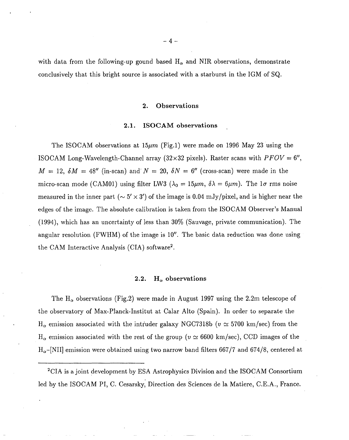with data from the following-up gound based  $H_{\alpha}$  and NIR observations, demonstrate conclusively that this bright source is associated with a starburst in the IGM of SQ.

# 2. **Observations**

### **2.1. ISOCAM observations ,**

The ISOCAM observations at  $15\mu m$  (Fig.1) were made on 1996 May 23 using the ISOCAM Long-Wavelength-Channel array (32×32 pixels). Raster scans with  $PFOV = 6$ ",  $M = 12$ ,  $\delta M = 48''$  (in-scan) and  $N = 20$ ,  $\delta N = 6''$  (cross-scan) were made in the micro-scan mode (CAM01) using filter LW3 ( $\lambda_0 = 15 \mu m$ ,  $\delta \lambda = 6 \mu m$ ). The  $1\sigma$  rms noise measured in the inner part ( $\sim 5' \times 3'$ ) of the image is 0.04 mJy/pixel, and is higher near the edges of the image. The absolute calibration is taken from the ISOCAM Observer's Manual (1994), which has an uncertainty of less than 30% (Sauvage, private communication). The angular resolution (FWHM) of the image is 10". The basic data reduction was done using the CAM Interactive Analysis (CIA) software2.

# 2.2.  $H_{\alpha}$  observations

The  $H_{\alpha}$  observations (Fig.2) were made in August 1997 using the 2.2m telescope of the observatory of Max-Planck-Institut at Calar Alto (Spain). In order to separate the  $H_{\alpha}$  emission associated with the intruder galaxy NGC7318b ( $v \approx 5700 \text{ km/sec}$ ) from the  $H_{\alpha}$  emission associated with the rest of the group ( $v \approx 6600 \text{ km/sec}$ ), CCD images of the  $H_{\alpha}$ -[NII] emission were obtained using two narrow band filters 667/7 and 674/8, centered at

-4-

<sup>&</sup>lt;sup>2</sup>CIA is a joint development by ESA Astrophysics Division and the ISOCAM Consortium led by the ISOCAM PI, C. Cesarsky, Direction des Sciences de la Matiere, C.E.A., France.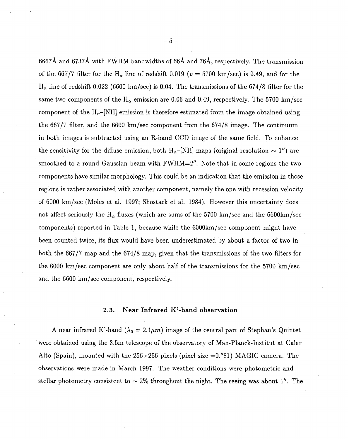**6667A and 6737A with** FWHM bandwidths of 66A and 76A, respectively. The transmission of the 667/7 filter for the H<sub> $\alpha$ </sub> line of redshift 0.019 ( $v = 5700 \text{ km/sec}$ ) is 0.49, and for the  $H_{\alpha}$  line of redshift 0.022 (6600 km/sec) is 0.04. The transmissions of the 674/8 filter for the same two components of the H<sub> $\alpha$ </sub> emission are 0.06 and 0.49, respectively. The 5700 km/sec component of the  $H_{\alpha}$ –[NII] emission is therefore estimated from the image obtained using the  $667/7$  filter, and the  $6600 \text{ km/sec component from the } 674/8 \text{ image. The continuum}$ in both images is subtracted using an R-band CCD image of the same field. To enhance the sensitivity for the diffuse emission, both  $H_{\alpha}$ –[NII] maps (original resolution  $\sim 1$ ") are smoothed to a round Gaussian beam with  $FWHM=2<sup>n</sup>$ . Note that in some regions the two components have similar morphology. This could be an indication that the emission in those regions is rather associated with another component, namely the one with recession velocity of 6000 km/see (Moles et al. 1997; Shostack et al. 1984). However this uncertainty does not affect seriously the H<sub> $\alpha$ </sub> fluxes (which are sums of the 5700 km/sec and the 6600km/sec components) reported in Table 1, because while the 6000km /see component might have been counted twice, its flux would have been underestimated by about a factor of two in both the 667/7 map and the 674/8 map, given that the transmissions of the two filters for the 6000 km/see component are only about half of the transmissions for the 5700 km/see and the 6600 km/see component, respectively.

# **2.3. Near Infrared K'-band observation**

A near infrared K'-band ( $\lambda_0 = 2.1 \mu m$ ) image of the central part of Stephan's Quintet were obtained using the 3.5m telescope of the observatory of Max-Planck-Institut at Calar Alto (Spain), mounted with the  $256 \times 256$  pixels (pixel size  $=0.^{\prime\prime}81$ ) MAGIC camera. The observations were made in March 1997. The weather conditions were photometric and stellar photometry consistent to  $\sim 2\%$  throughout the night. The seeing was about 1". The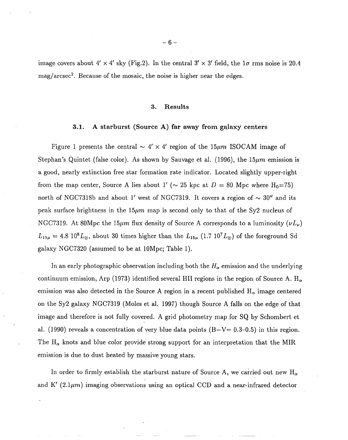image covers about  $4' \times 4'$  sky (Fig.2). In the central  $3' \times 3'$  field, the  $1\sigma$  rms noise is 20.4  $mag/arcsec<sup>2</sup>$ . Because of the mosaic, the noise is higher near the edges.

#### **3. Results**

### **3.1. A starburst (Source A) far away from gqlaxy centers**

Figure 1 presents the central  $\sim$  4'  $\times$  4' region of the 15 $\mu$ m ISOCAM image of Stephan's Quintet (false color). As shown by Sauvage et al. (1996), the  $15\mu m$  emission is a good, nearly extinction free star formation rate indicator. Located slightly upper-right from the map center, Source A lies about 1' ( $\sim$  25 kpc at D = 80 Mpc where H<sub>0</sub>=75) north of NGC7318b and about 1' west of NGC7319. It covers a region of  $\sim 30''$  and its peak surface brightness in the 15 $\mu$ m map is second only to that of the Sy2 nucleus of NGC7319. At 80Mpc the 15 $\mu$ m flux density of Source A corresponds to a luminosity ( $\nu L_{\nu}$ )  $L_{15\mu} = 4.8 \, 10^8 L_{\odot}$ , about 30 times higher than the  $L_{15\mu}$  (1.7  $10^7 L_{\odot}$ ) of the foreground Sd galaxy NGC7320 (assumed to be at 10Mpc; Table 1).

In an early photographic observation including both the  $H_{\alpha}$  emission and the underlying continuum emission, Arp (1973) identified several HII regions in the region of Source A.  $\rm H_{\alpha}$ emission was also detected in the Source A region in a recent published  $H_{\alpha}$  image centered on the Sy2 galaxy NGC7319 (Moles et al. 1997) though Source A falls on the edge of that image and therefore is not fully covered. A grid photometry map for SQ by Schombert et al. (1990) reveals a concentration of very blue data points  $(B-V= 0.3-0.5)$  in this region. The  $H_{\alpha}$  knots and blue color provide strong support for an interpretation that the MIR emission is due to dust heated by massive young stars.

In order to firmly establish the starburst nature of Source A, we carried out new  $H_{\alpha}$ and K'  $(2.1\mu m)$  imaging observations using an optical CCD and a near-infrared detector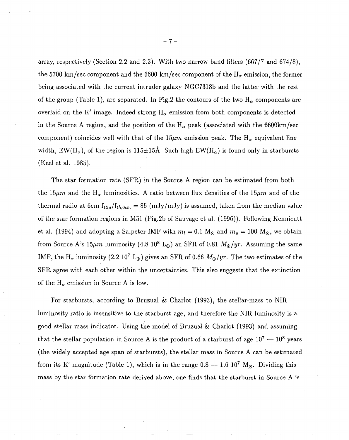array, respectively (Section 2.2 and 2.3). With two narrow band filters (667/7 and 674/8), the 5700 km/sec component and the 6600 km/sec component of the  $H_{\alpha}$  emission, the former being associated with the current intruder galaxy NGC7318b and the latter with the rest of the group (Table 1), are separated. In Fig.2 the contours of the two  $H_{\alpha}$  components are overlaid on the K' image. Indeed strong  $H_{\alpha}$  emission from both components is detected in the Source A region, and the position of the  $H_{\alpha}$  peak (associated with the 6600km/sec component) coincides well with that of the 15 $\mu$ m emission peak. The H<sub>a</sub> equivalent line width, EW(H<sub>a</sub>), of the region is 115 $\pm$ 15Å. Such high EW(H<sub>a</sub>) is found only in starbursts (Keel et al. 1985).

The star formation rate (SFR) in the Source A region can be estimated from both the 15 $\mu$ m and the H<sub>α</sub> luminosities. A ratio between flux densities of the 15 $\mu$ m and of the thermal radio at 6cm  $f_{15\mu}/f_{th,6cm} = 85$  (mJy/mJy) is assumed, taken from the median value of the star formation regions in M51 (Fig.2b of Sauvage et al. (1996)). Following Kennicutt et al. (1994) and adopting a Salpeter IMF with  $m_l = 0.1$  M<sub>o</sub> and  $m_u = 100$  M<sub>o</sub>, we obtain from Source A's 15 $\mu$ m luminosity (4.8 10<sup>8</sup> L<sub>o</sub>) an SFR of 0.81  $M_{\odot}/yr$ . Assuming the same IMF, the H<sub> $\alpha$ </sub> luminosity (2.2 10<sup>7</sup> L<sub>o</sub>) gives an SFR of 0.66  $M_{\odot}/yr$ . The two estimates of the SFR agree with each other within the uncertainties. This also suggests that the extinction of the  $H_{\alpha}$  emission in Source A is low.

For starbursts, according to Bruzual & Charlot (1993), the stellar-mass to NIR luminosity ratio is insensitive to the starburst age, and therefore the NIR luminosity is a good stellar mass indicator. Using the model of Bruzual & Chariot (1993) and assuming that the stellar population in Source A is the product of a starburst of age  $10^7 - 10^8$  years (the widely accepted age span of starbursts), the stellar mass in Source A can be estimated from its K' magnitude (Table 1), which is in the range  $0.8 - 1.610^7$  M<sub>o</sub>. Dividing this mass by the star formation rate derived above, one finds that the starburst in Source A is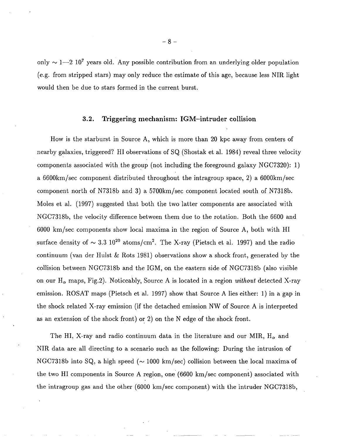only  $\sim$  1—2 10<sup>7</sup> years old. Any possible contribution from an underlying older population (e.g. from stripped stars) may only reduce the estimate of this age, because less NIR light would then be due to stars formed in the current burst.

# **3.2. Triggering mechanism: IGM–intruder collision**

How is the starburst in Source A, which is more than 20 kpc away from centers of nearby galaxies, triggered? HI observations of SQ (Shostak et al. 1984) reveal three velocity components associated with the group (not including the foreground galaxy NGC7320): 1) a 6600km/sec component distributed throughout the intragroup space, 2) a 6000km/sec component north of N7318b and 3) a 5700km/sec component located south of N7318b. Moles et al. (1997) suggested that both the two latter components are associated with NGC7318b, the velocity difference between them due to the rotation. Both the 6600 and 6000 km/see components show local maxima in the region of Source A, both with HI surface density of  $\sim 3.3 \times 10^{20}$  atoms/cm<sup>2</sup>. The X-ray (Pietsch et al. 1997) and the radio continuum (van der Hulst & Rots 1981) observations show a shock front, generated by the collision between NGC7318b and the IGM, on the eastern side of NGC7318b (also visible on our  $H_{\alpha}$  maps, Fig.2). Noticeably, Source A is located in a region *without* detected X-ray emission. ROSAT maps (Pietsch et al. 1997) show that Source A lies either: 1) in a gap in the shock related X-ray emission (if the detached emission NW of Source A is interpreted as an extension of the shock front) or 2) on the N edge of the shock front.

The HI, X-ray and radio continuum data in the literature and our MIR,  $H_{\alpha}$  and NIR data are all directing to a scenario such as the following: During the intrusion of NGC7318b into SQ, a high speed ( $\sim$  1000 km/sec) collision between the local maxima of the two HI components in Source A region, one (6600 km/see component) associated with the intragroup gas and the other (6000 km/see component) with the intruder NGC7318b,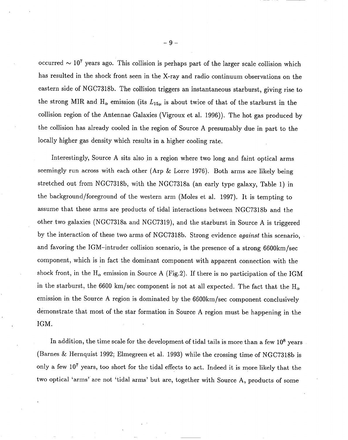occurred  $\sim 10^7$  years ago. This collision is perhaps part of the larger scale collision which has resulted in the shock front seen in the X-ray and radio continuum observations on the eastern side of NGC7318b. The collision triggers an instantaneous starburst, giving rise to the strong MIR and  $H_{\alpha}$  emission (its  $L_{15\mu}$  is about twice of that of the starburst in the collision region of the Antennae Galaxies (Vigroux et al. 1996)). The hot gas produced by the collision has already cooled in the region of Source A presumably due in part to the locally higher gas density which results in a higher cooling rate.

Interestingly, Source A sits also in a region where two long and faint optical arms seemingly run across with each other (Arp & Lorre 1976). Both arms are likely being stretched out from NGC7318b, with the NGC7318a (an early type galaxy, Table 1) in the background/foreground of the western arm (Moles et al. 1997). It is tempting to assume that these arms are products of tidal interactions between NGC7318b and the other two galaxies (NGC7318a and NGC7319), and the starburst in Source A is triggered by the interaction of these two arms of NGC7318b. Strong evidence *against* this scenario, and favoring the IGM–intruder collision scenario, is the presence of a strong 6600km/sec component, which is in fact the dominant component with apparent connection with the shock front, in the  $H_{\alpha}$  emission in Source A (Fig.2). If there is no participation of the IGM in the starburst, the 6600 km/sec component is not at all expected. The fact that the  $H_{\alpha}$ emission in the Source A region is dominated by the 6600km/sec component conclusively demonstrate that most of the star formation in Source A region must be happening in the IGM.

In addition, the time scale for the development of tidal tails is more than a few  $10^8$  years (Barnes & Hernquist 1992; Elmegreen et al. 1993) while the crossing time of NGC7318b is only a few 107 years, too short for the tidal effects to act. Indeed it is more likely that the two optical 'arms' are not 'tidal arms' but are, together with Source A, products of some

*-9-*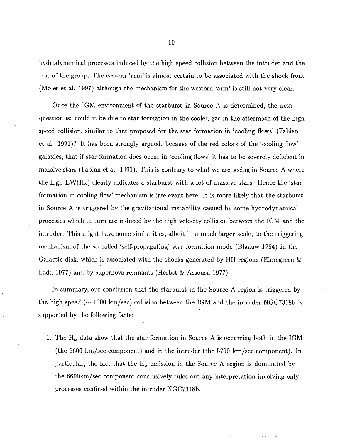hydrodynamical processes induced by the high speed collision between the intruder and the rest of the group. The eastern 'arm' is almost certain to be associated with the shock front (Moles et al. 1997) although the mechanism for the western 'arm' is still not very clear.

Once the IGM environment of the starburst in Source A is determined, the next question is: could it be due to star formation in the cooled gas in the aftermath of the high speed collision, similar to that proposed for the star formation in 'cooling flows' (Fabian et al. 1991)? It has been strongly argued, because of the red colors of the 'cooling flow' galaxies; that if star formation does occur in 'cooling flows' it has to be severely deficient in massive stars (Fabian et al. 1991). This is contrary to what we are seeing in Source A where the high  $EW(H_{\alpha})$  clearly indicates a starburst with a lot of massive stars. Hence the 'star formation in cooling flow' mechanism is irrelevant here. It is more likely that the starburst in Source A is triggered by the gravitational instability casued by some hydrodynamical processes which in turn are induced by the high velocity collision between the IGM and the intruder. This might have some similatities, albeit in a much larger scale, to the triggering mechanism of the so called 'self-propagating' star formation mode (Blaauw 1964) in the Galactic disk, which is associated with the shocks generated by HII regions (Elmegreen & Lada 1977) and by supernova remnants (Herbst & Assousa 1977).

In summary, our conclusion that the starburst in the Source A region is triggered by the high speed ( $\sim$  1000 km/sec) collision between the IGM and the intruder NGC7318b is supported by the following facts:

1. The  $H_{\alpha}$  data show that the star formation in Source A is occurring both in the IGM (the *6600* km/see component) and in the intruder (the 5700 km/see component). In particular, the fact that the  $H_{\alpha}$  emission in the Source A region is dominated by the 6600km/sec component conclusively rules out any interpretation involving only processes confined within the intruder NGC7318b.

 $-10-$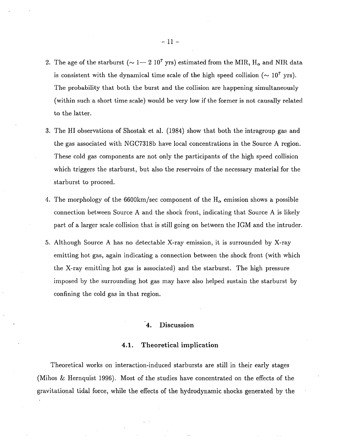- 2. The age of the starburst ( $\sim 1-2~10^7$  yrs) estimated from the MIR,  $\rm H_{\alpha}$  and NIR data is consistent with the dynamical time scale of the high speed collision ( $\sim 10^7$  yrs). The probability that both the burst and the collision are happening simultaneously (within such a short time scale) would be very low if the former is not causally related to the latter.
- 3. The HI observations of Shostak et al. (1984) show that both the intragroup gas and the gas associated with NGC7318b have local concentrations in the Source A region. These cold gas components are not only the participants of the high speed collision which triggers the starburst, but also the reservoirs of the necessary material for the starburst to proceed.
- 4. The morphology of the 6600km/sec component of the  $H_{\alpha}$  emission shows a possible connection between Source A and the shock front, indicating that Source A is likely part of a larger scale collision that is still going on between the IGM and the intruder.
- 5. Although Source A has no detectable X-ray emission, it is surrounded by X-ray emitting hot gas, again indicating a connection between the shock front (with which the X-ray emitting hot gas is associated) and the starburst. The high pressure imposed by the surrounding hot gas may have also helped sustain the starburst by confining the cold gas in that region.

# **'4. Discussion**

# **4.1. Theoretical implication**

Theoretical works on interaction-induced starbursts are still in their early stages (Mihos & Hernquist 1996). Most of the studies have concentrated on the effects of the gravitational tidal force, while the effects of the hydrodynamic shocks generated by the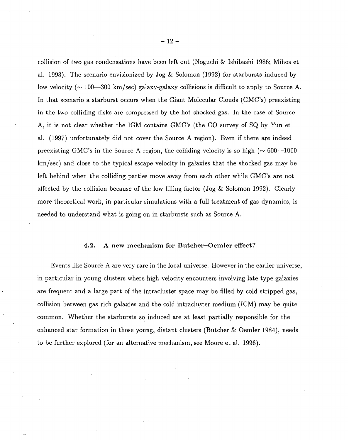collision of two gas condensations have been left out (Noguchi & Ishibashi 1986; Mihos et al. 1993). The scenario envisionized by Jog & Solomon (1992) for starbursts induced by low velocity ( $\sim$  100—300 km/sec) galaxy-galaxy collisions is difficult to apply to Source A. In that scenario a starburst occurs when the Giant Molecular Clouds (GMC'S) preexisting in the two colliding disks are compressed by the hot shocked gas. In the case of Source A, it is not clear whether the IGM contains GMC'S (the CO survey of SQ by Yun et al. (1997) unfortunately did not cover the Source A region). Even if there are indeed preexisting GMC's in the Source A region, the colliding velocity is so high ( $\sim 600-1000$ ) km/see) and close to the typical escape velocity in galaxies that the shocked gas may be left behind when the colliding parties move away from each other while GMC's are not affected by the collision because of the low filling factor (Jog & Solomon 1992). Clearly more theoretical work, in particular simulations with a full treatment of gas dynamics, is needed to understand what is going on in starbursts such as Source A.

# 4.2. **A new mechanism for Butcher–Oemler effect?**

Events like Source A are very rare in the local universe. However in the earlier universe, in particular in young clusters where high velocity encounters involving late type galaxies are frequent and a large part of the intracluster space may be filled by cold stripped gas, collision between gas rich galaxies and the cold intracluster medium (ICM) may be quite common. Whether the starbursts so induced are at least partially responsible for the enhanced star formation in those young, distant clusters (Butcher  $\&$  Oemler 1984), needs to be further explored (for an alternative mechanism, see Moore et al. 1996).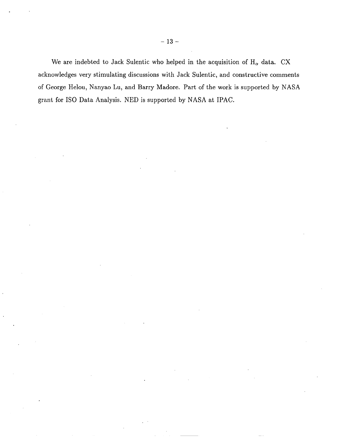We are indebted to Jack Sulentic who helped in the acquisition of  $H_{\alpha}$  data. CX acknowledges very stimulating discussions with Jack Sulentic, and constructive comments of George Helou, Nanyao Lu, and Barry Madore, Part of the work is supported by NASA grant for ISO Data Analysis. NED is supported by NASA at IPAC.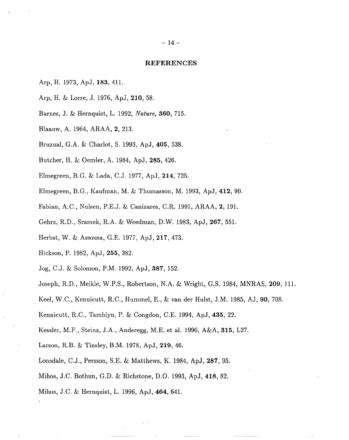#### **REFERENCES**

- Arp, H. 1973, ApJ,183,411.
- Arp, H. & Lorre, J. 1976, ApJ, 210, 58.
- Barnes, J. & Hernquist, L. 1992, Nature, 360, 715.
- Blaauw, A. 1964, ARAA, 2, 213.
- Bruzual, G.A. & Charlot, S. 1993, ApJ, 405, 538.
- Butcherj H. & Oemler, A. 1984, ApJ, 285, 426.
- Elmegreen, B.G. & Lada, C.J. 1977, ApJ, 214,'725.
- Elmegreen, B.G., Kaufman, M. & Thomasson, M. 1993, ApJ, 412, 90.
- Fabian, A. C., Nulsen, P.E.J. & Canizares, C.R. 1991, ARAA, 2, 191.
- Gehrz, R. D., Sramek, R.A. & Weedman, D.W. 1983, ApJ, 267, 551.
- Herbst, W, & Assousa, G.E. 1977, ApJ, 217, 473.
- Hickson, P. 1982, ApJ, 255, 382.
- Jog, C.J. & Solomon; P.M. 1992, ApJ, 387, 152.
- Joseph, R.D., Meikle, W.P.S., Robertson, N.A. & Wright, G.S. 1984, MNRAS, 209, 111.
- Keel, W.C., Kennicutt, R.C., Hummel, E., & van der Hulst, J.M. 1985, AJ, 90, 708.
- Kennicutt, R.C., Tamblyn, P. & Congdon, C.E. 1994, ApJ, 435, 22.
- Kessler, M.F., Steinz, J.A., Anderegg, M.E. et al. 1996, A&A, 315, L27.
- Larson, R.B. & Tinsley, B.M. 1978, ApJ, 219, 46.
- Lonsdale, C.J., Persson, S,E. & Matthews, K. 1984, ApJ, 287, 95.
- Mihos, J.C. Bothun, G.D. & Richstone, D.O. 1993, ApJ, 418, 82.
- Mihos, J.C. & Hernquist, L. 1996, ApJ, 464, 641.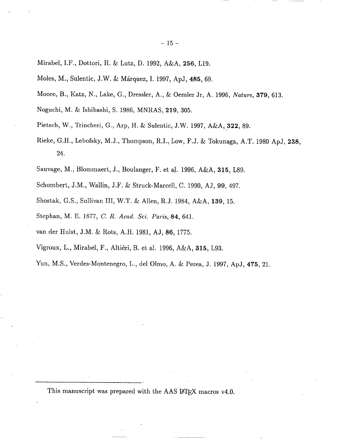- Mirabel, I.F., Dottori, H. & Lutz, D. 1992, A&A, 256, L19.
- Moles, M., Sulentic, J.W. & Márquez, I. 1997, ApJ, 485, 69.
- Moore, B., Katz, N., Lake, G., Dressler, A., & Oemler Jr, A. 1996, Nature, 379, 613.
- Noguchi, M. & Ishibashi, S. 1986, MNRAS, 219, 305.
- Pietsch, W., Trincheri, G., Arp, H. & Sulentic, J,W. 1997, A&A, 322, 89.
- Rieke, G.H., Lebofsky, M.J., Thompson, R.I., Low, F.J. & Tokunaga, A.T. 1980 ApJ, 238, 24.
- Sauvage, M., Blommaert, J., Boulanger, F. et al. 1996, A&A, 315, L89.
- Schombert, J.M., Wallin, J.F. & Struck-Marcell, C. 1990, AJ, 99, 497.
- Shostak, G.S., Sullivan III, W.T. & Allen, R.J. 1984, A&A, 139, 15.
- Stephan, M. E. 1877, C. R. Acad. Sci. Paris, 84, 641.
- van der Hulst, J.M. & Rots, A.H. 1981, AJ, 86, 1775.
- Vigroux, L., Mirabel, F., Alti6ri, B. et al. 1996, A&A, 315, L93.

Yun, M.S., Verdes-Montenegro, L., del Olmo, A. & Perea, J. 1997, ApJ, 475, 21.

This manuscript was prepared with the AAS L<sup>4</sup>T<sub>E</sub>X macros v4.0.

—.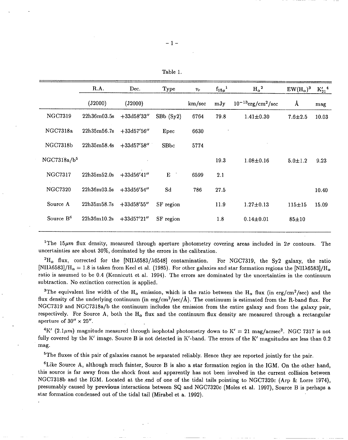| Table |  |
|-------|--|
|-------|--|

|                         | R.A.        | Dec.          | Type                 | $v_r$  | $f_{15\mu}$ <sup>1</sup> | $H_{\alpha}{}^{2}$                  | $EW(H_{\alpha})^3$ | $K_{21}^{\prime 4}$ |
|-------------------------|-------------|---------------|----------------------|--------|--------------------------|-------------------------------------|--------------------|---------------------|
|                         | (J2000)     | (J2000)       |                      | km/sec | mJy                      | $10^{-13}$ erg/cm <sup>2</sup> /sec | Å                  | mag                 |
| <b>NGC7319</b>          | 22h36m03.5s | $+33d58'33''$ | $S_{\text{Bb}}(Sy2)$ | 6764   | 79.8                     | $1.41 \pm 0.30$                     | $7.6 + 2.5$        | 10.03               |
| NGC7318a                | 22h35m56.7s | $+33d57'56''$ | Epec                 | 6630   |                          |                                     |                    |                     |
| NGC7318b                | 22h35m58.4s | $+33d57'58''$ | SBbc                 | 5774   |                          |                                     |                    |                     |
| NGC7318a/b <sup>5</sup> |             |               |                      |        | 19.3                     | $1.08 + 0.16$                       | $5.0 + 1.2$        | 9.23                |
| <b>NGC7317</b>          | 22h35m52.0s | $+33d56'41''$ | ${\bf E}$            | 6599   | 2.1                      |                                     |                    |                     |
| <b>NGC7320</b>          | 22h36m03.5s | $+33d56'54''$ | Sd                   | 786    | 27.5                     |                                     |                    | 10.40               |
| Source A                | 22h35m58.7s | $+33d58'55''$ | SF region            |        | 11.9                     | $1.27 \pm 0.13$                     | $115 + 15$         | 15.09               |
| Source B <sup>6</sup>   | 22h36m10.2s | $+33d57'21''$ | SF region            |        | 1.8                      | $0.14 \pm 0.01$                     | $85 + 10$          |                     |

<sup>1</sup>The 15 $\mu$ m flux density, measured through aperture photometry covering areas included in  $2\sigma$  contours. The uncertainties are about 30%, dominated by the errors in the calibration.

<sup>2</sup>H<sub>α</sub> flux, corrected for the [NIIA6583/A6548] contamination. For NGC7319, the Sy2 galaxy, the ratio [NII $\lambda$ 6583]/H<sub> $\alpha$ </sub> = 1.8 is taken from Keel et al. (1985). For other galaxies and star formation regions the [NII $\lambda$ 6583]/H<sub> $\alpha$ </sub> ratio is assumed to be 0.4 (Kennicutt et al. 1994). The errors are dominated by the uncertainties in the continuum subtraction. No extinction correction is applied.

<sup>3</sup>The equivalent line width of the H<sub>a</sub> emission, which is the ratio between the H<sub>a</sub> flux (in erg/cm<sup>2</sup>/sec) and the flux density of the underlying continuum (in erg/cm<sup>2</sup>/sec/Å). The continuum is estimated from the R-band flux. For NGC7319 and NGC7318a/b the continuum includes the emission from the entire galaxy and from the galaxy pair, respectively. For Source A, both the  $H_{\alpha}$  flux and the continuum flux density are measured through a rectangular aperture of  $30'' \times 25''$ .

<sup>4</sup>K' (2.1 $\mu$ m) magnitude measured through isophotal photometry down to K' = 21 mag/acrsec<sup>2</sup>. NGC 7317 is not fully covered by the K' image. Source B is not detected in K'-band. The errors of the K' magnitudes are less than 0.2 mag.

<sup>5</sup>The fluxes of this pair of galaxies cannot be separated reliably. Hence they are reported jointly for the pair.

 $6$ Like Source A, although much fainter, Source B is also a star formation region in the IGM. On the other hand, this source is far away from the shock front and apparently has not been involved in the current collision between NGC7318b and the IGM. Located at the end of one of the tidal tails pointing to NGC7320c (Arp & Lorre 1974), presumably caused by previous interactions between SQ and NGC7320c (Moles et al. 1997), Source B is perhaps a star formation condensed out of the tidal tail (Mirabel et a. 1992).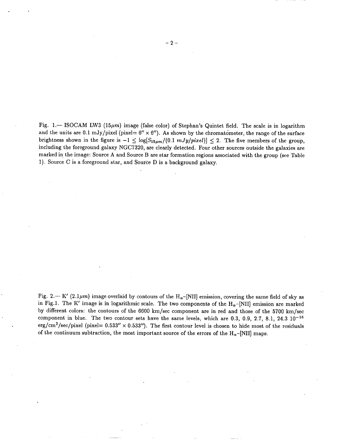Fig. 1. - ISOCAM LW3 (15 $\mu$ m) image (false color) of Stephan's Quintet field. The scale is in logarithm and the units are 0.1 mJy/pixel (pixel=  $6'' \times 6''$ ). As shown by the chromatometer, the range of the surface brightness shown in the figure is  $-1 \leq \log[S_{15\mu m}/(0.1 \ mJy/pixel)] \leq 2$ . The five members of the group, including the foreground galaxy NGC7320, are clearly detected. Four other sources outside the galaxies are marked in the image: Source A and Source B are star formation regions associated with the group (see Table 1). Source C is a foreground star, and Source D is a background galaxy,

Fig. 2.— K' (2.1 $\mu$ m) image overlaid by contours of the H<sub>α</sub>-[NII] emission, covering the same field of sky as in Fig.1. The K' image is in logarithmic scale. The two components of the  $H_{\alpha}$ -[NII] emission are marked by different colors: the contours of the 6600 km/see component are in red and those of the 5700 km/see component in blue. The two contour sets have the same levels, which are 0.3, 0.9, 2.7, 8.1, 24.3  $10^{-16}$ erg/cm<sup>2</sup>/sec/pixel (pixel=  $0.533'' \times 0.533'$ ). The first contour level is chosen to hide most of the residuals of the continuum subtraction, the most important source of the errors of the  $H_{\alpha}$ -[NII] maps.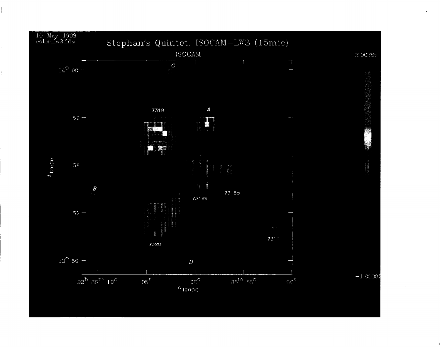